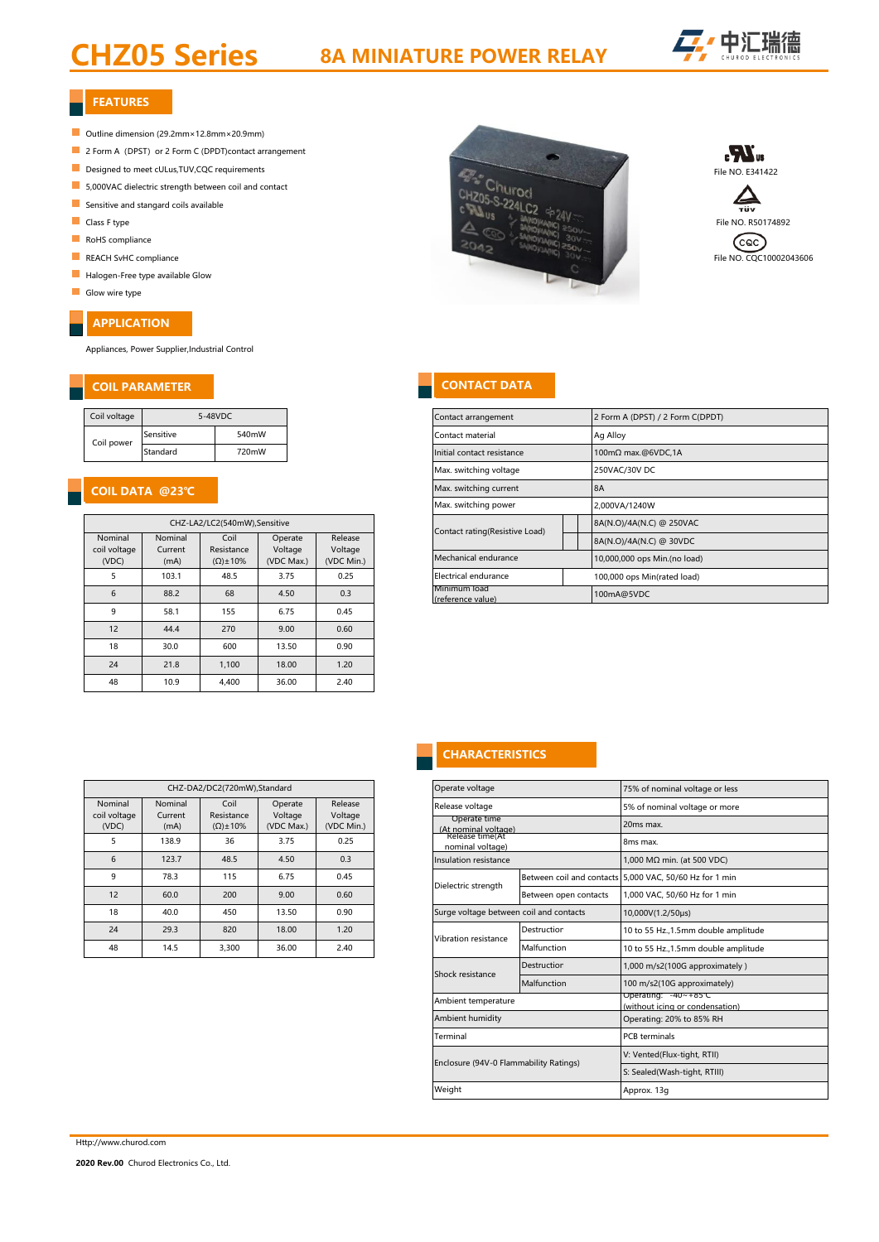# CHZ05 Series

# 8A MINIATURE POWER RELAY



### FEATURES FEATURES

- Outline dimension (29.2mm×12.8mm×20.9mm)
- **2 Form A** (DPST) or 2 Form C (DPDT)contact arrangement
- 
- 5,000VAC dielectric strength between coil and contact
- Sensitive and stangard coils available
- 
- RoHS compliance
- 
- Halogen-Free type available Glow
- Glow wire type

# APPLICATION

Appliances, Power Supplier,Industrial Control

### COIL PARAMETER CONTACT DATA COIL PARAMETER CONTACT DATA

| Coil voltage | 5-48VDC   |       |  |  |
|--------------|-----------|-------|--|--|
| Coil power   | Sensitive | 540mW |  |  |
|              | Standard  | 720mW |  |  |

# COIL DATA @23℃ COIL DATA @23℃

| CHZ-LA2/LC2(540mW), Sensitive    |                            |                                           |                                  |                                  |  |
|----------------------------------|----------------------------|-------------------------------------------|----------------------------------|----------------------------------|--|
| Nominal<br>coil voltage<br>(VDC) | Nominal<br>Current<br>(mA) | Coil<br>Resistance<br>$(\Omega) \pm 10\%$ | Operate<br>Voltage<br>(VDC Max.) | Release<br>Voltage<br>(VDC Min.) |  |
| 5                                | 103.1                      | 48.5                                      | 3.75                             | 0.25                             |  |
| 6                                | 88.2                       | 68                                        | 4.50                             | 0.3                              |  |
| 9                                | 58.1                       | 155                                       | 6.75                             | 0.45                             |  |
| 12                               | 44.4                       | 270                                       | 9.00                             | 0.60                             |  |
| 18                               | 30.0                       | 600                                       | 13.50                            | 0.90                             |  |
| 24                               | 21.8                       | 1.100                                     | 18.00                            | 1.20                             |  |
| 48                               | 10.9                       | 4.400                                     | 36.00                            | 2.40                             |  |

|                                  |                            | CHZ-DA2/DC2(720mW),Standard               |                                  |                                  |
|----------------------------------|----------------------------|-------------------------------------------|----------------------------------|----------------------------------|
| Nominal<br>coil voltage<br>(VDC) | Nominal<br>Current<br>(mA) | Coil<br>Resistance<br>$(\Omega) \pm 10\%$ | Operate<br>Voltage<br>(VDC Max.) | Release<br>Voltage<br>(VDC Min.) |
| 5                                | 138.9                      | 36                                        | 3.75                             | 0.25                             |
| 6                                | 123.7                      | 48.5                                      | 4.50                             | 0.3                              |
| 9                                | 78.3                       | 115                                       | 6.75                             | 0.45                             |
| 12                               | 60.0                       | 200                                       | 9.00                             | 0.60                             |
| 18                               | 40.0                       | 450                                       | 13.50                            | 0.90                             |
| 24                               | 29.3                       | 820                                       | 18.00                            | 1.20                             |
| 48                               | 14.5                       | 3.300                                     | 36.00                            | 2.40                             |







|                                  |                                | Contact arrangement               |                              | 2 Form A (DPST) / 2 Form C(DPDT) |  |  |  |
|----------------------------------|--------------------------------|-----------------------------------|------------------------------|----------------------------------|--|--|--|
|                                  |                                |                                   |                              |                                  |  |  |  |
|                                  |                                | Contact material                  |                              | Ag Alloy                         |  |  |  |
|                                  |                                | Initial contact resistance        |                              | 100mΩ max.@6VDC,1A               |  |  |  |
|                                  |                                | Max. switching voltage            |                              | 250VAC/30V DC                    |  |  |  |
|                                  |                                | Max. switching current            |                              | <b>8A</b>                        |  |  |  |
|                                  |                                | Max. switching power              |                              | 2,000VA/1240W                    |  |  |  |
| Release<br>Voltage<br>(VDC Min.) | Contact rating(Resistive Load) |                                   | 8A(N.O)/4A(N.C) @ 250VAC     |                                  |  |  |  |
|                                  |                                |                                   | 8A(N.O)/4A(N.C) @ 30VDC      |                                  |  |  |  |
|                                  | Mechanical endurance           |                                   | 10,000,000 ops Min.(no load) |                                  |  |  |  |
| 0.25                             |                                | Electrical endurance              |                              | 100,000 ops Min(rated load)      |  |  |  |
| 0.3                              |                                | Minimum load<br>(reference value) |                              | 100mA@5VDC                       |  |  |  |
|                                  |                                |                                   |                              |                                  |  |  |  |

# **CHARACTERISTICS**

|                   | Operate voltage                         |                             | 75% of nominal voltage or less                          |  |  |  |
|-------------------|-----------------------------------------|-----------------------------|---------------------------------------------------------|--|--|--|
| elease            | Release voltage                         |                             | 5% of nominal voltage or more                           |  |  |  |
| oltage<br>C Min.) | Operate time<br>(At nominal voltage)    |                             | 20ms max.                                               |  |  |  |
| 0.25              | Release time(At<br>nominal voltage)     |                             | 8ms max.                                                |  |  |  |
| 0.3               | Insulation resistance                   |                             | 1,000 MΩ min. (at 500 VDC)                              |  |  |  |
| 0.45              | Dielectric strength                     |                             | Between coil and contacts 5,000 VAC, 50/60 Hz for 1 min |  |  |  |
| 0.60              |                                         | Between open contacts       | 1.000 VAC, 50/60 Hz for 1 min                           |  |  |  |
| 0.90              | Surge voltage between coil and contacts |                             | 10,000V(1.2/50µs)                                       |  |  |  |
| 1.20              | Vibration resistance                    | Destruction                 | 10 to 55 Hz., 1.5mm double amplitude                    |  |  |  |
| 2.40              |                                         | Malfunction                 | 10 to 55 Hz., 1.5mm double amplitude                    |  |  |  |
|                   | Shock resistance                        | Destruction                 | 1,000 m/s2(100G approximately)                          |  |  |  |
|                   |                                         | Malfunction                 | 100 m/s2(10G approximately)                             |  |  |  |
|                   | Ambient temperature                     |                             | Operating: -40~+85℃<br>(without icing or condensation)  |  |  |  |
|                   | Ambient humidity                        |                             | Operating: 20% to 85% RH                                |  |  |  |
|                   | Terminal                                |                             | <b>PCB</b> terminals                                    |  |  |  |
|                   | Enclosure (94V-0 Flammability Ratings)  | V: Vented(Flux-tight, RTII) |                                                         |  |  |  |
|                   |                                         |                             | S: Sealed(Wash-tight, RTIII)                            |  |  |  |
|                   | Weight                                  |                             | Approx. 13g                                             |  |  |  |
|                   |                                         |                             |                                                         |  |  |  |

Http://www.churod.com

2020 Rev.00 Churod Electronics Co., Ltd.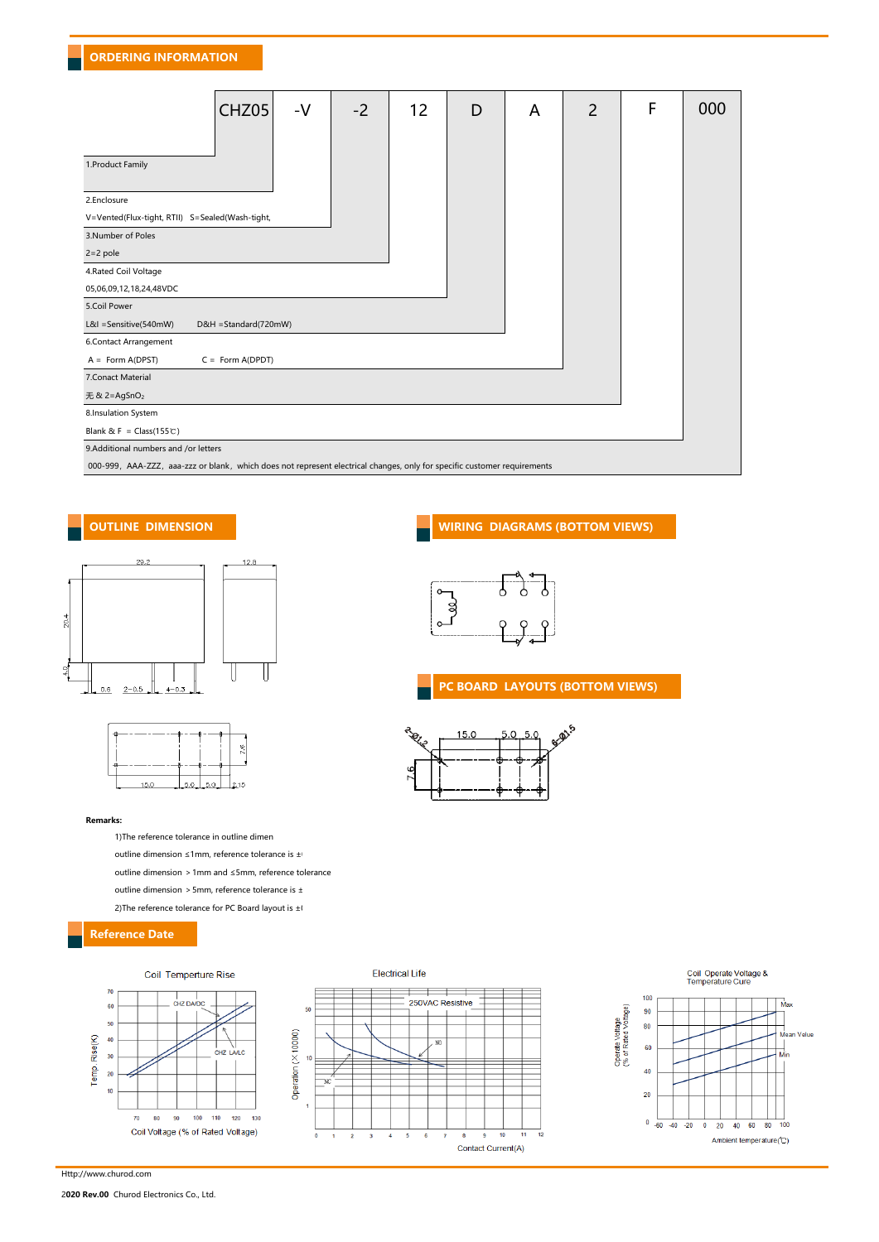| CHZ05<br>$-V$                                                                                                            | $-2$ | 12 | D | A | $\overline{2}$ | F | 000 |  |
|--------------------------------------------------------------------------------------------------------------------------|------|----|---|---|----------------|---|-----|--|
| 1. Product Family                                                                                                        |      |    |   |   |                |   |     |  |
| 2.Enclosure                                                                                                              |      |    |   |   |                |   |     |  |
| V=Vented(Flux-tight, RTII) S=Sealed(Wash-tight,                                                                          |      |    |   |   |                |   |     |  |
| 3.Number of Poles                                                                                                        |      |    |   |   |                |   |     |  |
| $2=2$ pole                                                                                                               |      |    |   |   |                |   |     |  |
| 4.Rated Coil Voltage                                                                                                     |      |    |   |   |                |   |     |  |
| 05,06,09,12,18,24,48VDC                                                                                                  |      |    |   |   |                |   |     |  |
| 5.Coil Power                                                                                                             |      |    |   |   |                |   |     |  |
| L&I =Sensitive(540mW)<br>D&H = Standard(720mW)                                                                           |      |    |   |   |                |   |     |  |
| 6.Contact Arrangement                                                                                                    |      |    |   |   |                |   |     |  |
| $C = Form A(DPDT)$<br>$A = Form A(DPST)$                                                                                 |      |    |   |   |                |   |     |  |
| 7. Conact Material                                                                                                       |      |    |   |   |                |   |     |  |
| 无 & 2=AgSnO <sub>2</sub>                                                                                                 |      |    |   |   |                |   |     |  |
| 8.Insulation System                                                                                                      |      |    |   |   |                |   |     |  |
| Blank & F = $Class(155 \text{ C})$                                                                                       |      |    |   |   |                |   |     |  |
| 9.Additional numbers and /or letters                                                                                     |      |    |   |   |                |   |     |  |
| 000-999, AAA-ZZZ, aaa-zzz or blank, which does not represent electrical changes, only for specific customer requirements |      |    |   |   |                |   |     |  |





### Remarks:

1)The reference tolerance in outline dimen outline dimension ≤1mm, reference tolerance is  $\pm$ outline dimension > 1mm and  $\leq$ 5mm, reference tolerance outline dimension > 5mm, reference tolerance is  $\pm$ 2)The reference tolerance for PC Board layout is  $\pm 0$ 

## Reference Date



# OUTLINE DIMENSION WIRING DIAGRAMS (BOTTOM VIEWS)



## PC BOARD LAYOUTS (BOTTOM VIEWS)



**Electrical Life** 

50

 $\overline{1}$ 

 $\mathbf 0$  $\pmb{\mathsf{1}}$  $\overline{\mathbf{2}}$  $\overline{\mathbf{3}}$  $\overline{4}$  ${\bf 5}$  $6\phantom{a}$  $\overline{7}$ 8

Operation (X10000)

 $\overline{+}$  $\overline{1}$  $\overline{1}$ ⇉

250VAC Resistive

 $\overline{\mathsf{N}}$ 



2020 Rev.00 Churod Electronics Co., Ltd.

Http://www.churod.com